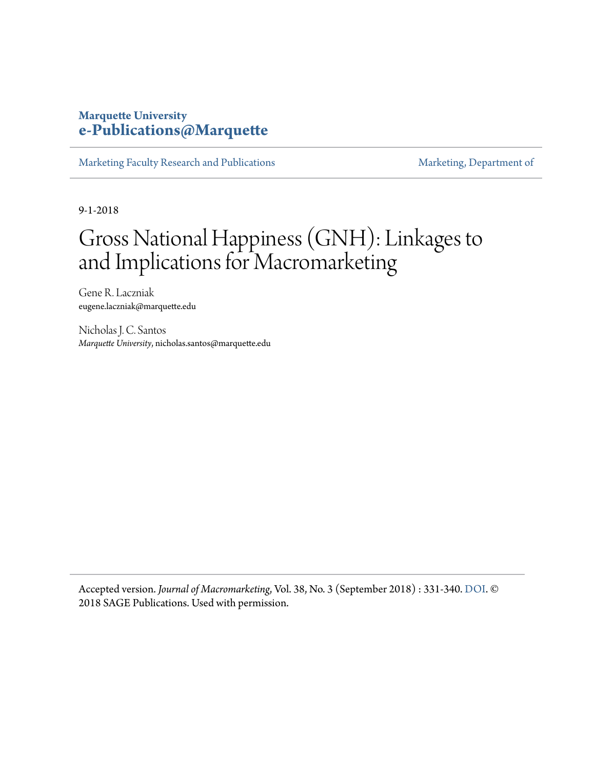#### **Marquette University [e-Publications@Marquette](https://epublications.marquette.edu/)**

[Marketing Faculty Research and Publications](https://epublications.marquette.edu/market_fac) [Marketing, Department of](https://epublications.marquette.edu/market)

9-1-2018

## Gross National Happiness (GNH): Linkages to and Implications for Macromarketing

Gene R. Laczniak eugene.laczniak@marquette.edu

Nicholas J. C. Santos *Marquette University*, nicholas.santos@marquette.edu

Accepted version. *Journal of Macromarketing*, Vol. 38, No. 3 (September 2018) : 331-340. [DOI.](https://journals.sagepub.com/doi/10.1177/0276146718787600) © 2018 SAGE Publications. Used with permission.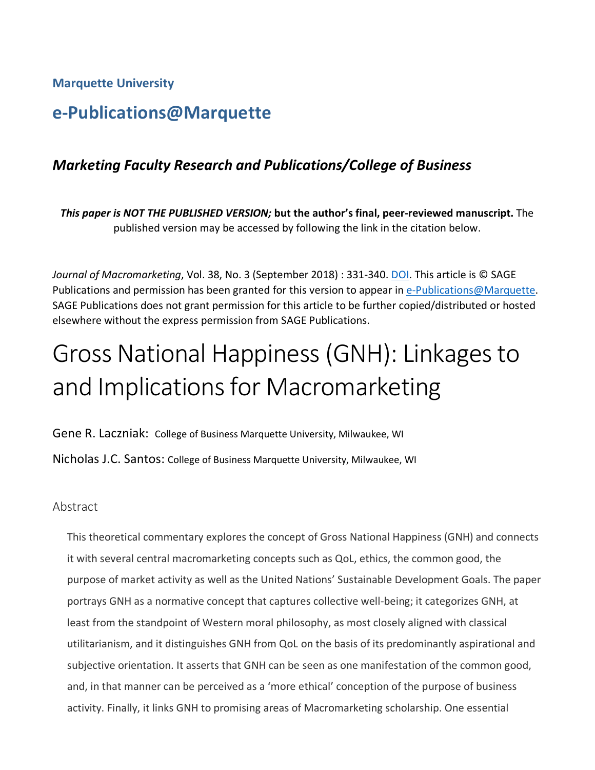**Marquette University**

### **e-Publications@Marquette**

#### *Marketing Faculty Research and Publications/College of Business*

*This paper is NOT THE PUBLISHED VERSION;* **but the author's final, peer-reviewed manuscript.** The published version may be accessed by following the link in the citation below.

*Journal of Macromarketing*, Vol. 38, No. 3 (September 2018) : 331-340. [DOI.](https://journals.sagepub.com/doi/10.1177/0276146718787600) This article is © SAGE Publications and permission has been granted for this version to appear in [e-Publications@Marquette.](http://epublications.marquette.edu/) SAGE Publications does not grant permission for this article to be further copied/distributed or hosted elsewhere without the express permission from SAGE Publications.

# Gross National Happiness (GNH): Linkages to and Implications for Macromarketing

Gene R. Laczniak: College of Business Marquette University, Milwaukee, WI

Nicholas J.C. Santos: College of Business Marquette University, Milwaukee, WI

#### Abstract

This theoretical commentary explores the concept of Gross National Happiness (GNH) and connects it with several central macromarketing concepts such as QoL, ethics, the common good, the purpose of market activity as well as the United Nations' Sustainable Development Goals. The paper portrays GNH as a normative concept that captures collective well-being; it categorizes GNH, at least from the standpoint of Western moral philosophy, as most closely aligned with classical utilitarianism, and it distinguishes GNH from QoL on the basis of its predominantly aspirational and subjective orientation. It asserts that GNH can be seen as one manifestation of the common good, and, in that manner can be perceived as a 'more ethical' conception of the purpose of business activity. Finally, it links GNH to promising areas of Macromarketing scholarship. One essential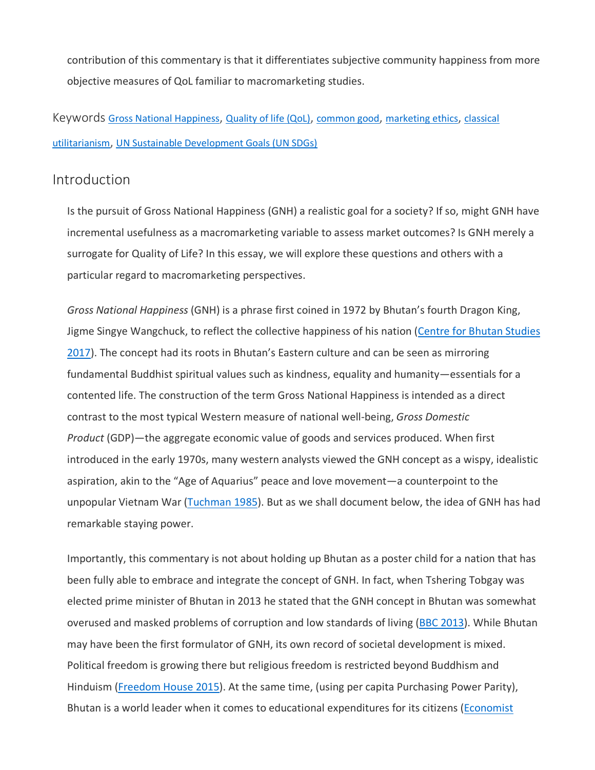contribution of this commentary is that it differentiates subjective community happiness from more objective measures of QoL familiar to macromarketing studies.

Keywords [Gross National Happiness,](https://journals.sagepub.com/keyword/Gross+National+Happiness) [Quality of life \(QoL\),](https://journals.sagepub.com/keyword/Quality+Of+Life+%5C%28qol%5C%29) [common good,](https://journals.sagepub.com/keyword/Common+Good) [marketing ethics,](https://journals.sagepub.com/keyword/Marketing+Ethics) [classical](https://journals.sagepub.com/keyword/Classical+Utilitarianism)  [utilitarianism,](https://journals.sagepub.com/keyword/Classical+Utilitarianism) [UN Sustainable Development Goals \(UN SDGs\)](https://journals.sagepub.com/keyword/UN+Sustainable+Development+Goals+%5C%28UN+Sdgs%5C%29)

#### Introduction

Is the pursuit of Gross National Happiness (GNH) a realistic goal for a society? If so, might GNH have incremental usefulness as a macromarketing variable to assess market outcomes? Is GNH merely a surrogate for Quality of Life? In this essay, we will explore these questions and others with a particular regard to macromarketing perspectives.

*Gross National Happiness* (GNH) is a phrase first coined in 1972 by Bhutan's fourth Dragon King, Jigme Singye Wangchuck, to reflect the collective happiness of his nation (Centre for Bhutan Studies [2017\)](https://journals.sagepub.com/doi/10.1177/0276146718787600). The concept had its roots in Bhutan's Eastern culture and can be seen as mirroring fundamental Buddhist spiritual values such as kindness, equality and humanity—essentials for a contented life. The construction of the term Gross National Happiness is intended as a direct contrast to the most typical Western measure of national well-being, *Gross Domestic Product* (GDP)—the aggregate economic value of goods and services produced. When first introduced in the early 1970s, many western analysts viewed the GNH concept as a wispy, idealistic aspiration, akin to the "Age of Aquarius" peace and love movement—a counterpoint to the unpopular Vietnam War [\(Tuchman 1985\)](https://journals.sagepub.com/doi/10.1177/0276146718787600). But as we shall document below, the idea of GNH has had remarkable staying power.

Importantly, this commentary is not about holding up Bhutan as a poster child for a nation that has been fully able to embrace and integrate the concept of GNH. In fact, when Tshering Tobgay was elected prime minister of Bhutan in 2013 he stated that the GNH concept in Bhutan was somewhat overused and masked problems of corruption and low standards of living [\(BBC 2013\)](https://journals.sagepub.com/doi/10.1177/0276146718787600). While Bhutan may have been the first formulator of GNH, its own record of societal development is mixed. Political freedom is growing there but religious freedom is restricted beyond Buddhism and Hinduism [\(Freedom House 2015\)](https://journals.sagepub.com/doi/10.1177/0276146718787600). At the same time, (using per capita Purchasing Power Parity), Bhutan is a world leader when it comes to educational expenditures for its citizens [\(Economist](https://journals.sagepub.com/doi/10.1177/0276146718787600)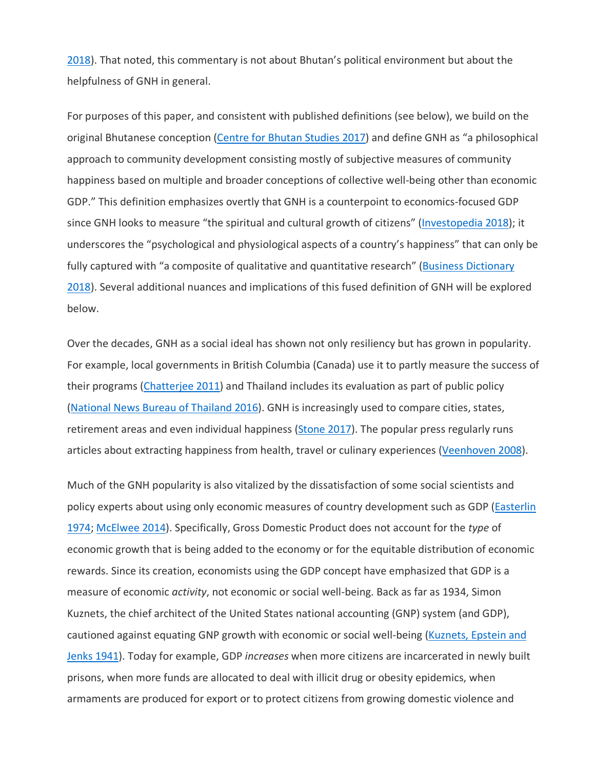[2018\)](https://journals.sagepub.com/doi/10.1177/0276146718787600). That noted, this commentary is not about Bhutan's political environment but about the helpfulness of GNH in general.

For purposes of this paper, and consistent with published definitions (see below), we build on the original Bhutanese conception [\(Centre for Bhutan Studies 2017\)](https://journals.sagepub.com/doi/10.1177/0276146718787600) and define GNH as "a philosophical approach to community development consisting mostly of subjective measures of community happiness based on multiple and broader conceptions of collective well-being other than economic GDP." This definition emphasizes overtly that GNH is a counterpoint to economics-focused GDP since GNH looks to measure "the spiritual and cultural growth of citizens" [\(Investopedia 2018\)](https://journals.sagepub.com/doi/10.1177/0276146718787600); it underscores the "psychological and physiological aspects of a country's happiness" that can only be fully captured with "a composite of qualitative and quantitative research" (Business Dictionary [2018\)](https://journals.sagepub.com/doi/10.1177/0276146718787600). Several additional nuances and implications of this fused definition of GNH will be explored below.

Over the decades, GNH as a social ideal has shown not only resiliency but has grown in popularity. For example, local governments in British Columbia (Canada) use it to partly measure the success of their programs [\(Chatterjee 2011\)](https://journals.sagepub.com/doi/10.1177/0276146718787600) and Thailand includes its evaluation as part of public policy [\(National News Bureau of Thailand 2016\)](https://journals.sagepub.com/doi/10.1177/0276146718787600). GNH is increasingly used to compare cities, states, retirement areas and even individual happiness [\(Stone 2017\)](https://journals.sagepub.com/doi/10.1177/0276146718787600). The popular press regularly runs articles about extracting happiness from health, travel or culinary experiences [\(Veenhoven 2008\)](https://journals.sagepub.com/doi/10.1177/0276146718787600).

Much of the GNH popularity is also vitalized by the dissatisfaction of some social scientists and policy experts about using only economic measures of country development such as GDP [\(Easterlin](https://journals.sagepub.com/doi/10.1177/0276146718787600)  [1974;](https://journals.sagepub.com/doi/10.1177/0276146718787600) [McElwee 2014\)](https://journals.sagepub.com/doi/10.1177/0276146718787600). Specifically, Gross Domestic Product does not account for the *type* of economic growth that is being added to the economy or for the equitable distribution of economic rewards. Since its creation, economists using the GDP concept have emphasized that GDP is a measure of economic *activity*, not economic or social well-being. Back as far as 1934, Simon Kuznets, the chief architect of the United States national accounting (GNP) system (and GDP), cautioned against equating GNP growth with economic or social well-being [\(Kuznets, Epstein and](https://journals.sagepub.com/doi/10.1177/0276146718787600)  [Jenks 1941\)](https://journals.sagepub.com/doi/10.1177/0276146718787600). Today for example, GDP *increases* when more citizens are incarcerated in newly built prisons, when more funds are allocated to deal with illicit drug or obesity epidemics, when armaments are produced for export or to protect citizens from growing domestic violence and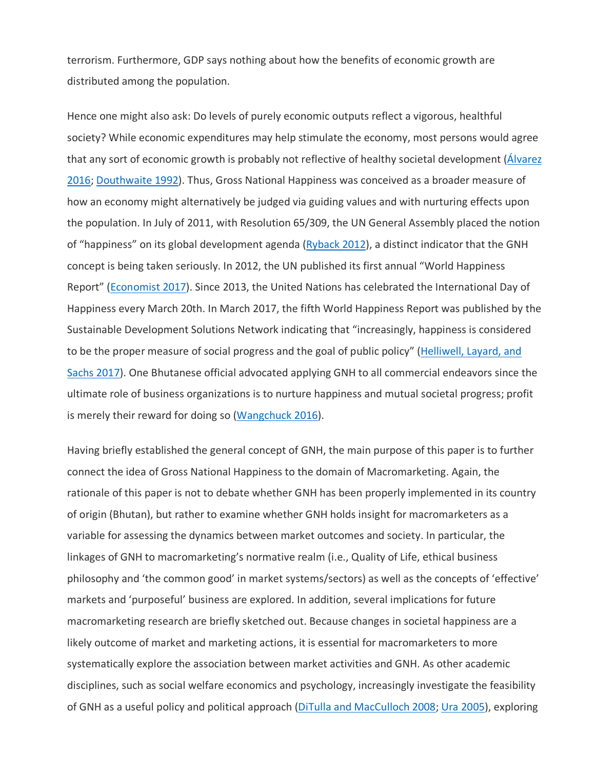terrorism. Furthermore, GDP says nothing about how the benefits of economic growth are distributed among the population.

Hence one might also ask: Do levels of purely economic outputs reflect a vigorous, healthful society? While economic expenditures may help stimulate the economy, most persons would agree that any sort of economic growth is probably not reflective of healthy societal development [\(Álvarez](https://journals.sagepub.com/doi/10.1177/0276146718787600)  [2016;](https://journals.sagepub.com/doi/10.1177/0276146718787600) [Douthwaite 1992\)](https://journals.sagepub.com/doi/10.1177/0276146718787600). Thus, Gross National Happiness was conceived as a broader measure of how an economy might alternatively be judged via guiding values and with nurturing effects upon the population. In July of 2011, with Resolution 65/309, the UN General Assembly placed the notion of "happiness" on its global development agenda [\(Ryback 2012\)](https://journals.sagepub.com/doi/10.1177/0276146718787600), a distinct indicator that the GNH concept is being taken seriously. In 2012, the UN published its first annual "World Happiness Report" [\(Economist 2017\)](https://journals.sagepub.com/doi/10.1177/0276146718787600). Since 2013, the United Nations has celebrated the International Day of Happiness every March 20th. In March 2017, the fifth World Happiness Report was published by the Sustainable Development Solutions Network indicating that "increasingly, happiness is considered to be the proper measure of social progress and the goal of public policy" [\(Helliwell, Layard, and](https://journals.sagepub.com/doi/10.1177/0276146718787600)  [Sachs 2017\)](https://journals.sagepub.com/doi/10.1177/0276146718787600). One Bhutanese official advocated applying GNH to all commercial endeavors since the ultimate role of business organizations is to nurture happiness and mutual societal progress; profit is merely their reward for doing so [\(Wangchuck 2016\)](https://journals.sagepub.com/doi/10.1177/0276146718787600).

Having briefly established the general concept of GNH, the main purpose of this paper is to further connect the idea of Gross National Happiness to the domain of Macromarketing. Again, the rationale of this paper is not to debate whether GNH has been properly implemented in its country of origin (Bhutan), but rather to examine whether GNH holds insight for macromarketers as a variable for assessing the dynamics between market outcomes and society. In particular, the linkages of GNH to macromarketing's normative realm (i.e., Quality of Life, ethical business philosophy and 'the common good' in market systems/sectors) as well as the concepts of 'effective' markets and 'purposeful' business are explored. In addition, several implications for future macromarketing research are briefly sketched out. Because changes in societal happiness are a likely outcome of market and marketing actions, it is essential for macromarketers to more systematically explore the association between market activities and GNH. As other academic disciplines, such as social welfare economics and psychology, increasingly investigate the feasibility of GNH as a useful policy and political approach [\(DiTulla and MacCulloch 2008;](https://journals.sagepub.com/doi/10.1177/0276146718787600) [Ura 2005\)](https://journals.sagepub.com/doi/10.1177/0276146718787600), exploring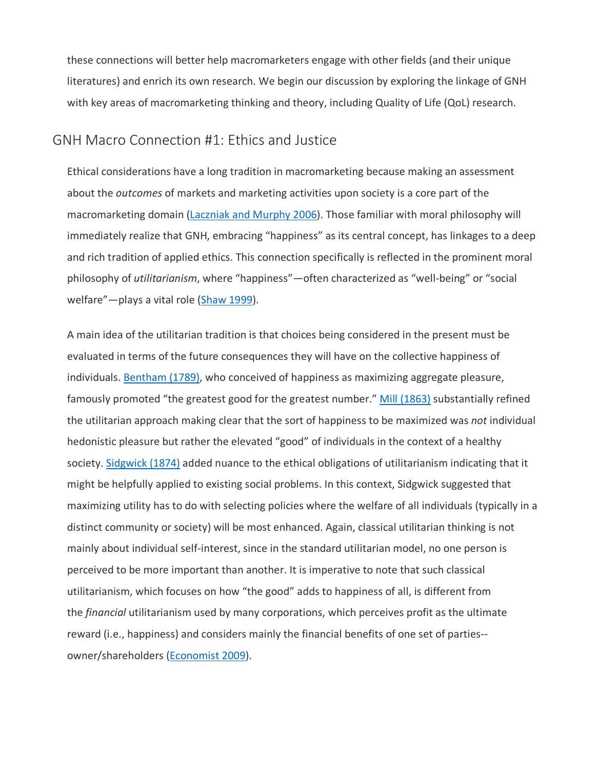these connections will better help macromarketers engage with other fields (and their unique literatures) and enrich its own research. We begin our discussion by exploring the linkage of GNH with key areas of macromarketing thinking and theory, including Quality of Life (QoL) research.

#### GNH Macro Connection #1: Ethics and Justice

Ethical considerations have a long tradition in macromarketing because making an assessment about the *outcomes* of markets and marketing activities upon society is a core part of the macromarketing domain [\(Laczniak and Murphy 2006\)](https://journals.sagepub.com/doi/10.1177/0276146718787600). Those familiar with moral philosophy will immediately realize that GNH, embracing "happiness" as its central concept, has linkages to a deep and rich tradition of applied ethics. This connection specifically is reflected in the prominent moral philosophy of *utilitarianism*, where "happiness"—often characterized as "well-being" or "social welfare"—plays a vital role [\(Shaw 1999\)](https://journals.sagepub.com/doi/10.1177/0276146718787600).

A main idea of the utilitarian tradition is that choices being considered in the present must be evaluated in terms of the future consequences they will have on the collective happiness of individuals. [Bentham \(1789\),](https://journals.sagepub.com/doi/10.1177/0276146718787600) who conceived of happiness as maximizing aggregate pleasure, famously promoted "the greatest good for the greatest number." [Mill \(1863\)](https://journals.sagepub.com/doi/10.1177/0276146718787600) substantially refined the utilitarian approach making clear that the sort of happiness to be maximized was *not* individual hedonistic pleasure but rather the elevated "good" of individuals in the context of a healthy society. [Sidgwick \(1874\)](https://journals.sagepub.com/doi/10.1177/0276146718787600) added nuance to the ethical obligations of utilitarianism indicating that it might be helpfully applied to existing social problems. In this context, Sidgwick suggested that maximizing utility has to do with selecting policies where the welfare of all individuals (typically in a distinct community or society) will be most enhanced. Again, classical utilitarian thinking is not mainly about individual self-interest, since in the standard utilitarian model, no one person is perceived to be more important than another. It is imperative to note that such classical utilitarianism, which focuses on how "the good" adds to happiness of all, is different from the *financial* utilitarianism used by many corporations, which perceives profit as the ultimate reward (i.e., happiness) and considers mainly the financial benefits of one set of parties- owner/shareholders [\(Economist 2009\)](https://journals.sagepub.com/doi/10.1177/0276146718787600).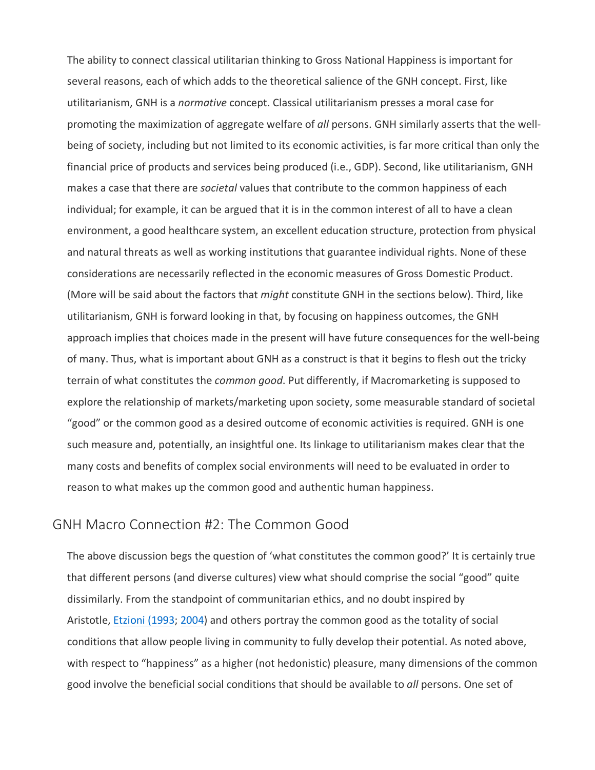The ability to connect classical utilitarian thinking to Gross National Happiness is important for several reasons, each of which adds to the theoretical salience of the GNH concept. First, like utilitarianism, GNH is a *normative* concept. Classical utilitarianism presses a moral case for promoting the maximization of aggregate welfare of *all* persons. GNH similarly asserts that the wellbeing of society, including but not limited to its economic activities, is far more critical than only the financial price of products and services being produced (i.e., GDP). Second, like utilitarianism, GNH makes a case that there are *societal* values that contribute to the common happiness of each individual; for example, it can be argued that it is in the common interest of all to have a clean environment, a good healthcare system, an excellent education structure, protection from physical and natural threats as well as working institutions that guarantee individual rights. None of these considerations are necessarily reflected in the economic measures of Gross Domestic Product. (More will be said about the factors that *might* constitute GNH in the sections below). Third, like utilitarianism, GNH is forward looking in that, by focusing on happiness outcomes, the GNH approach implies that choices made in the present will have future consequences for the well-being of many. Thus, what is important about GNH as a construct is that it begins to flesh out the tricky terrain of what constitutes the *common good*. Put differently, if Macromarketing is supposed to explore the relationship of markets/marketing upon society, some measurable standard of societal "good" or the common good as a desired outcome of economic activities is required. GNH is one such measure and, potentially, an insightful one. Its linkage to utilitarianism makes clear that the many costs and benefits of complex social environments will need to be evaluated in order to reason to what makes up the common good and authentic human happiness.

#### GNH Macro Connection #2: The Common Good

The above discussion begs the question of 'what constitutes the common good?' It is certainly true that different persons (and diverse cultures) view what should comprise the social "good" quite dissimilarly. From the standpoint of communitarian ethics, and no doubt inspired by Aristotle, [Etzioni \(1993;](https://journals.sagepub.com/doi/10.1177/0276146718787600) [2004\)](https://journals.sagepub.com/doi/10.1177/0276146718787600) and others portray the common good as the totality of social conditions that allow people living in community to fully develop their potential. As noted above, with respect to "happiness" as a higher (not hedonistic) pleasure, many dimensions of the common good involve the beneficial social conditions that should be available to *all* persons. One set of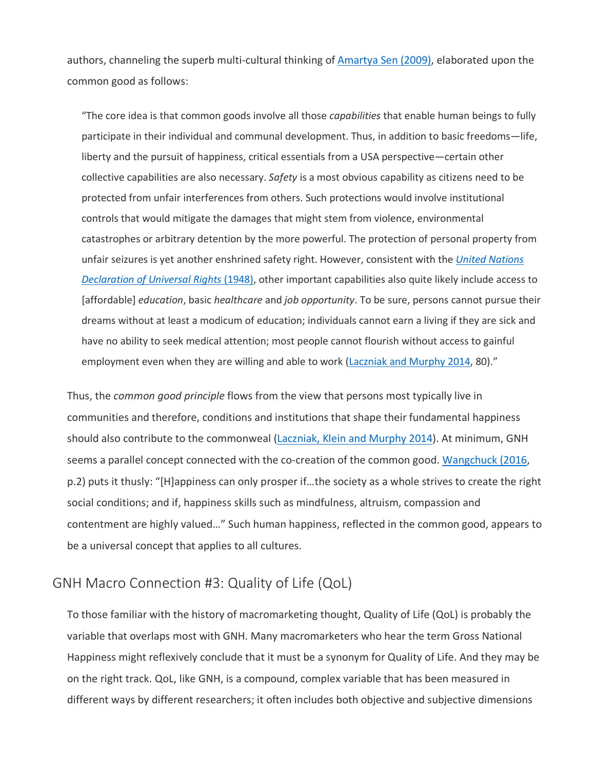authors, channeling the superb multi-cultural thinking of [Amartya Sen \(2009\),](https://journals.sagepub.com/doi/10.1177/0276146718787600) elaborated upon the common good as follows:

"The core idea is that common goods involve all those *capabilities* that enable human beings to fully participate in their individual and communal development. Thus, in addition to basic freedoms—life, liberty and the pursuit of happiness, critical essentials from a USA perspective—certain other collective capabilities are also necessary. *Safety* is a most obvious capability as citizens need to be protected from unfair interferences from others. Such protections would involve institutional controls that would mitigate the damages that might stem from violence, environmental catastrophes or arbitrary detention by the more powerful. The protection of personal property from unfair seizures is yet another enshrined safety right. However, consistent with the *[United Nations](https://journals.sagepub.com/doi/10.1177/0276146718787600)  [Declaration of Universal Rights](https://journals.sagepub.com/doi/10.1177/0276146718787600)* (1948), other important capabilities also quite likely include access to [affordable] *education*, basic *healthcare* and *job opportunity*. To be sure, persons cannot pursue their dreams without at least a modicum of education; individuals cannot earn a living if they are sick and have no ability to seek medical attention; most people cannot flourish without access to gainful employment even when they are willing and able to work [\(Laczniak and Murphy 2014,](https://journals.sagepub.com/doi/10.1177/0276146718787600) 80)."

Thus, the *common good principle* flows from the view that persons most typically live in communities and therefore, conditions and institutions that shape their fundamental happiness should also contribute to the commonweal [\(Laczniak, Klein and Murphy 2014\)](https://journals.sagepub.com/doi/10.1177/0276146718787600). At minimum, GNH seems a parallel concept connected with the co-creation of the common good. [Wangchuck \(2016,](https://journals.sagepub.com/doi/10.1177/0276146718787600) p.2) puts it thusly: "[H]appiness can only prosper if…the society as a whole strives to create the right social conditions; and if, happiness skills such as mindfulness, altruism, compassion and contentment are highly valued…" Such human happiness, reflected in the common good, appears to be a universal concept that applies to all cultures.

#### GNH Macro Connection #3: Quality of Life (QoL)

To those familiar with the history of macromarketing thought, Quality of Life (QoL) is probably the variable that overlaps most with GNH. Many macromarketers who hear the term Gross National Happiness might reflexively conclude that it must be a synonym for Quality of Life. And they may be on the right track. QoL, like GNH, is a compound, complex variable that has been measured in different ways by different researchers; it often includes both objective and subjective dimensions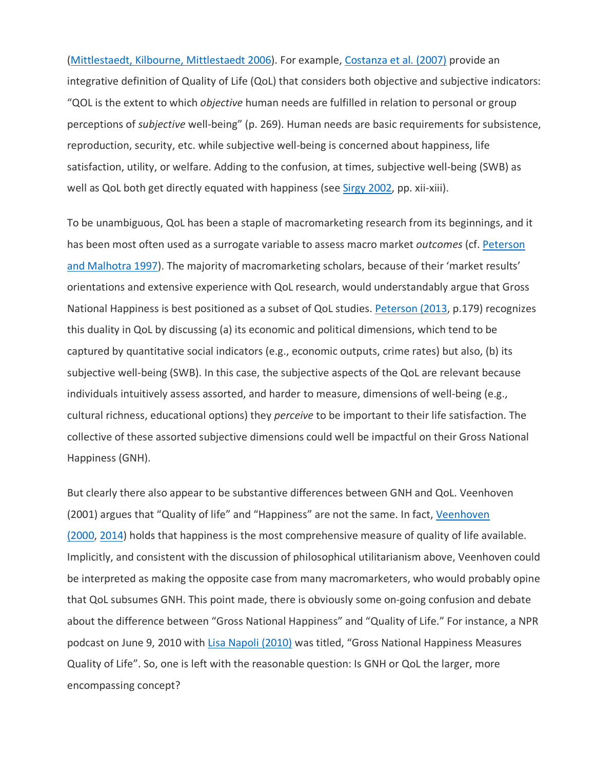[\(Mittlestaedt, Kilbourne, Mittlestaedt 2006\)](https://journals.sagepub.com/doi/10.1177/0276146718787600). For example, [Costanza et al. \(2007\)](https://journals.sagepub.com/doi/10.1177/0276146718787600) provide an integrative definition of Quality of Life (QoL) that considers both objective and subjective indicators: "QOL is the extent to which *objective* human needs are fulfilled in relation to personal or group perceptions of *subjective* well-being" (p. 269). Human needs are basic requirements for subsistence, reproduction, security, etc. while subjective well-being is concerned about happiness, life satisfaction, utility, or welfare. Adding to the confusion, at times, subjective well-being (SWB) as well as QoL both get directly equated with happiness (see [Sirgy 2002,](https://journals.sagepub.com/doi/10.1177/0276146718787600) pp. xii-xiii).

To be unambiguous, QoL has been a staple of macromarketing research from its beginnings, and it has been most often used as a surrogate variable to assess macro market *outcomes* (cf. [Peterson](https://journals.sagepub.com/doi/10.1177/0276146718787600) [and Malhotra 1997\)](https://journals.sagepub.com/doi/10.1177/0276146718787600). The majority of macromarketing scholars, because of their 'market results' orientations and extensive experience with QoL research, would understandably argue that Gross National Happiness is best positioned as a subset of QoL studies. [Peterson \(2013,](https://journals.sagepub.com/doi/10.1177/0276146718787600) p.179) recognizes this duality in QoL by discussing (a) its economic and political dimensions, which tend to be captured by quantitative social indicators (e.g., economic outputs, crime rates) but also, (b) its subjective well-being (SWB). In this case, the subjective aspects of the QoL are relevant because individuals intuitively assess assorted, and harder to measure, dimensions of well-being (e.g., cultural richness, educational options) they *perceive* to be important to their life satisfaction. The collective of these assorted subjective dimensions could well be impactful on their Gross National Happiness (GNH).

But clearly there also appear to be substantive differences between GNH and QoL. Veenhoven (2001) argues that "Quality of life" and "Happiness" are not the same. In fact, [Veenhoven](https://journals.sagepub.com/doi/10.1177/0276146718787600)  [\(2000,](https://journals.sagepub.com/doi/10.1177/0276146718787600) [2014\)](https://journals.sagepub.com/doi/10.1177/0276146718787600) holds that happiness is the most comprehensive measure of quality of life available. Implicitly, and consistent with the discussion of philosophical utilitarianism above, Veenhoven could be interpreted as making the opposite case from many macromarketers, who would probably opine that QoL subsumes GNH. This point made, there is obviously some on-going confusion and debate about the difference between "Gross National Happiness" and "Quality of Life." For instance, a NPR podcast on June 9, 2010 with [Lisa Napoli \(2010\)](https://journals.sagepub.com/doi/10.1177/0276146718787600) was titled, "Gross National Happiness Measures Quality of Life". So, one is left with the reasonable question: Is GNH or QoL the larger, more encompassing concept?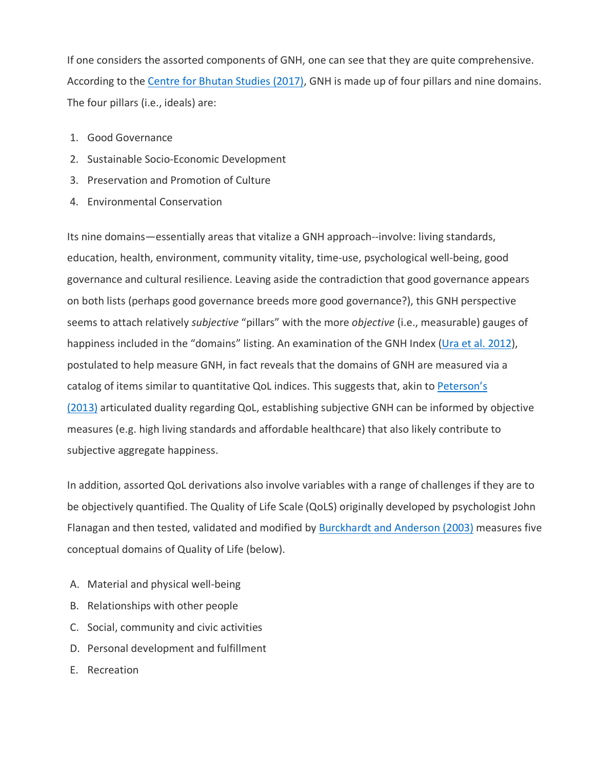If one considers the assorted components of GNH, one can see that they are quite comprehensive. According to the [Centre for Bhutan Studies \(2017\),](https://journals.sagepub.com/doi/10.1177/0276146718787600) GNH is made up of four pillars and nine domains. The four pillars (i.e., ideals) are:

- 1. Good Governance
- 2. Sustainable Socio-Economic Development
- 3. Preservation and Promotion of Culture
- 4. Environmental Conservation

Its nine domains—essentially areas that vitalize a GNH approach--involve: living standards, education, health, environment, community vitality, time-use, psychological well-being, good governance and cultural resilience. Leaving aside the contradiction that good governance appears on both lists (perhaps good governance breeds more good governance?), this GNH perspective seems to attach relatively *subjective* "pillars" with the more *objective* (i.e., measurable) gauges of happiness included in the "domains" listing. An examination of the GNH Index [\(Ura et al. 2012\)](https://journals.sagepub.com/doi/10.1177/0276146718787600), postulated to help measure GNH, in fact reveals that the domains of GNH are measured via a catalog of items similar to quantitative QoL indices. This suggests that, akin to [Peterson's](https://journals.sagepub.com/doi/10.1177/0276146718787600)  [\(2013\)](https://journals.sagepub.com/doi/10.1177/0276146718787600) articulated duality regarding QoL, establishing subjective GNH can be informed by objective measures (e.g. high living standards and affordable healthcare) that also likely contribute to subjective aggregate happiness.

In addition, assorted QoL derivations also involve variables with a range of challenges if they are to be objectively quantified. The Quality of Life Scale (QoLS) originally developed by psychologist John Flanagan and then tested, validated and modified by [Burckhardt and Anderson \(2003\)](https://journals.sagepub.com/doi/10.1177/0276146718787600) measures five conceptual domains of Quality of Life (below).

- A. Material and physical well-being
- B. Relationships with other people
- C. Social, community and civic activities
- D. Personal development and fulfillment
- E. Recreation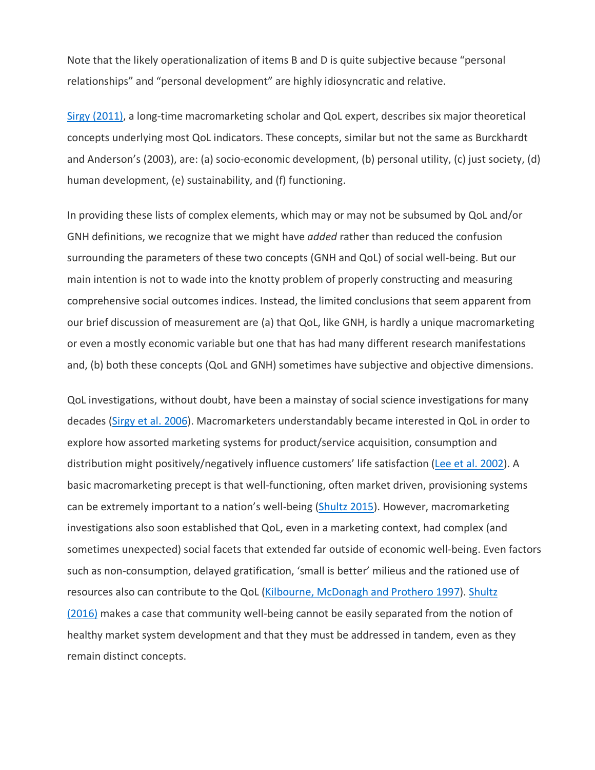Note that the likely operationalization of items B and D is quite subjective because "personal relationships" and "personal development" are highly idiosyncratic and relative.

[Sirgy \(2011\),](https://journals.sagepub.com/doi/10.1177/0276146718787600) a long-time macromarketing scholar and QoL expert, describes six major theoretical concepts underlying most QoL indicators. These concepts, similar but not the same as Burckhardt and Anderson's (2003), are: (a) socio-economic development, (b) personal utility, (c) just society, (d) human development, (e) sustainability, and (f) functioning.

In providing these lists of complex elements, which may or may not be subsumed by QoL and/or GNH definitions, we recognize that we might have *added* rather than reduced the confusion surrounding the parameters of these two concepts (GNH and QoL) of social well-being. But our main intention is not to wade into the knotty problem of properly constructing and measuring comprehensive social outcomes indices. Instead, the limited conclusions that seem apparent from our brief discussion of measurement are (a) that QoL, like GNH, is hardly a unique macromarketing or even a mostly economic variable but one that has had many different research manifestations and, (b) both these concepts (QoL and GNH) sometimes have subjective and objective dimensions.

QoL investigations, without doubt, have been a mainstay of social science investigations for many decades [\(Sirgy et al. 2006\)](https://journals.sagepub.com/doi/10.1177/0276146718787600). Macromarketers understandably became interested in QoL in order to explore how assorted marketing systems for product/service acquisition, consumption and distribution might positively/negatively influence customers' life satisfaction [\(Lee et al. 2002\)](https://journals.sagepub.com/doi/10.1177/0276146718787600). A basic macromarketing precept is that well-functioning, often market driven, provisioning systems can be extremely important to a nation's well-being [\(Shultz 2015\)](https://journals.sagepub.com/doi/10.1177/0276146718787600). However, macromarketing investigations also soon established that QoL, even in a marketing context, had complex (and sometimes unexpected) social facets that extended far outside of economic well-being. Even factors such as non-consumption, delayed gratification, 'small is better' milieus and the rationed use of resources also can contribute to the QoL [\(Kilbourne, McDonagh and Prothero 1997\)](https://journals.sagepub.com/doi/10.1177/0276146718787600). [Shultz](https://journals.sagepub.com/doi/10.1177/0276146718787600)  [\(2016\)](https://journals.sagepub.com/doi/10.1177/0276146718787600) makes a case that community well-being cannot be easily separated from the notion of healthy market system development and that they must be addressed in tandem, even as they remain distinct concepts.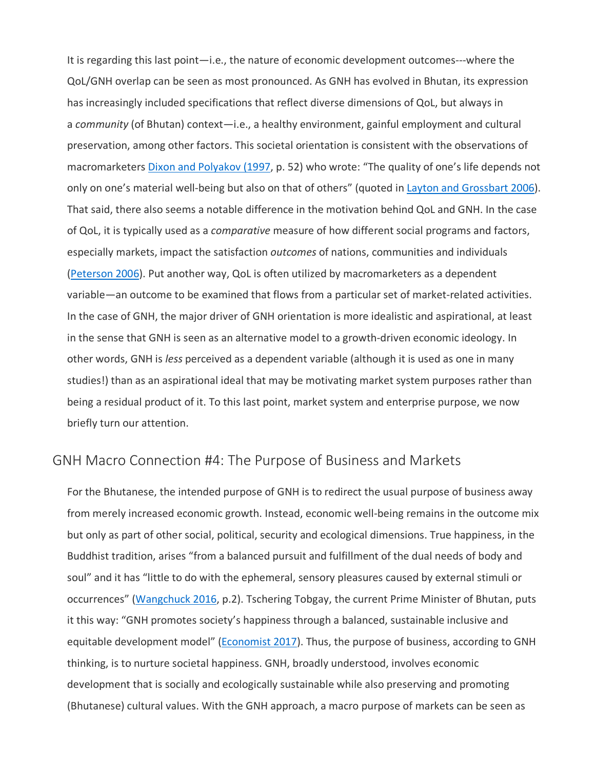It is regarding this last point—i.e., the nature of economic development outcomes---where the QoL/GNH overlap can be seen as most pronounced. As GNH has evolved in Bhutan, its expression has increasingly included specifications that reflect diverse dimensions of QoL, but always in a *community* (of Bhutan) context—i.e., a healthy environment, gainful employment and cultural preservation, among other factors. This societal orientation is consistent with the observations of macromarketers [Dixon and Polyakov \(1997,](https://journals.sagepub.com/doi/10.1177/0276146718787600) p. 52) who wrote: "The quality of one's life depends not only on one's material well-being but also on that of others" (quoted in [Layton and Grossbart 2006\)](https://journals.sagepub.com/doi/10.1177/0276146718787600). That said, there also seems a notable difference in the motivation behind QoL and GNH. In the case of QoL, it is typically used as a *comparative* measure of how different social programs and factors, especially markets, impact the satisfaction *outcomes* of nations, communities and individuals [\(Peterson 2006\)](https://journals.sagepub.com/doi/10.1177/0276146718787600). Put another way, QoL is often utilized by macromarketers as a dependent variable—an outcome to be examined that flows from a particular set of market-related activities. In the case of GNH, the major driver of GNH orientation is more idealistic and aspirational, at least in the sense that GNH is seen as an alternative model to a growth-driven economic ideology. In other words, GNH is *less* perceived as a dependent variable (although it is used as one in many studies!) than as an aspirational ideal that may be motivating market system purposes rather than being a residual product of it. To this last point, market system and enterprise purpose, we now briefly turn our attention.

#### GNH Macro Connection #4: The Purpose of Business and Markets

For the Bhutanese, the intended purpose of GNH is to redirect the usual purpose of business away from merely increased economic growth. Instead, economic well-being remains in the outcome mix but only as part of other social, political, security and ecological dimensions. True happiness, in the Buddhist tradition, arises "from a balanced pursuit and fulfillment of the dual needs of body and soul" and it has "little to do with the ephemeral, sensory pleasures caused by external stimuli or occurrences" [\(Wangchuck 2016,](https://journals.sagepub.com/doi/10.1177/0276146718787600) p.2). Tschering Tobgay, the current Prime Minister of Bhutan, puts it this way: "GNH promotes society's happiness through a balanced, sustainable inclusive and equitable development model" [\(Economist 2017\)](https://journals.sagepub.com/doi/10.1177/0276146718787600). Thus, the purpose of business, according to GNH thinking, is to nurture societal happiness. GNH, broadly understood, involves economic development that is socially and ecologically sustainable while also preserving and promoting (Bhutanese) cultural values. With the GNH approach, a macro purpose of markets can be seen as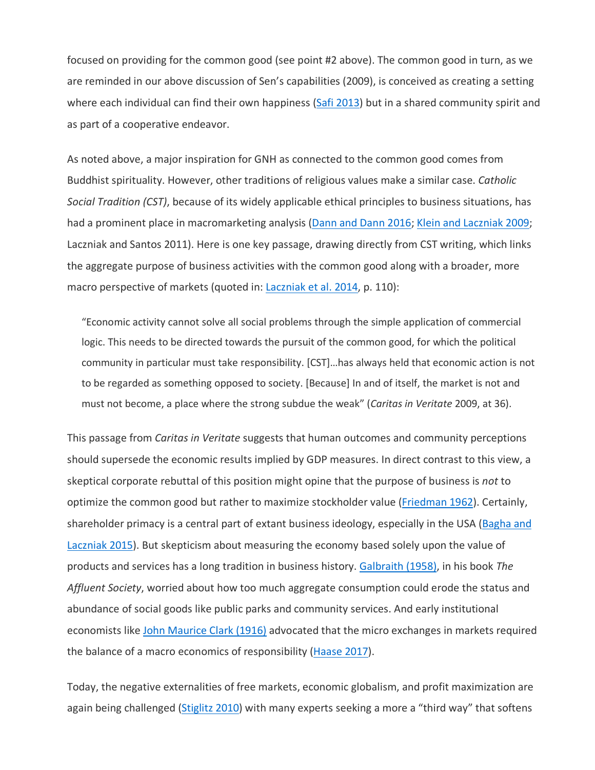focused on providing for the common good (see point #2 above). The common good in turn, as we are reminded in our above discussion of Sen's capabilities (2009), is conceived as creating a setting where each individual can find their own happiness [\(Safi 2013\)](https://journals.sagepub.com/doi/10.1177/0276146718787600) but in a shared community spirit and as part of a cooperative endeavor.

As noted above, a major inspiration for GNH as connected to the common good comes from Buddhist spirituality. However, other traditions of religious values make a similar case. *Catholic Social Tradition (CST)*, because of its widely applicable ethical principles to business situations, has had a prominent place in macromarketing analysis [\(Dann and Dann 2016;](https://journals.sagepub.com/doi/10.1177/0276146718787600) [Klein and Laczniak 2009;](https://journals.sagepub.com/doi/10.1177/0276146718787600) Laczniak and Santos 2011). Here is one key passage, drawing directly from CST writing, which links the aggregate purpose of business activities with the common good along with a broader, more macro perspective of markets (quoted in: [Laczniak et al.](https://journals.sagepub.com/doi/10.1177/0276146718787600) 2014, p. 110):

"Economic activity cannot solve all social problems through the simple application of commercial logic. This needs to be directed towards the pursuit of the common good, for which the political community in particular must take responsibility. [CST]…has always held that economic action is not to be regarded as something opposed to society. [Because] In and of itself, the market is not and must not become, a place where the strong subdue the weak" (*Caritas in Veritate* 2009, at 36).

This passage from *Caritas in Veritate* suggests that human outcomes and community perceptions should supersede the economic results implied by GDP measures. In direct contrast to this view, a skeptical corporate rebuttal of this position might opine that the purpose of business is *not* to optimize the common good but rather to maximize stockholder value [\(Friedman 1962\)](https://journals.sagepub.com/doi/10.1177/0276146718787600). Certainly, shareholder primacy is a central part of extant business ideology, especially in the USA [\(Bagha and](https://journals.sagepub.com/doi/10.1177/0276146718787600)  [Laczniak 2015\)](https://journals.sagepub.com/doi/10.1177/0276146718787600). But skepticism about measuring the economy based solely upon the value of products and services has a long tradition in business history. [Galbraith \(1958\),](https://journals.sagepub.com/doi/10.1177/0276146718787600) in his book *The Affluent Society*, worried about how too much aggregate consumption could erode the status and abundance of social goods like public parks and community services. And early institutional economists like [John Maurice Clark \(1916\)](https://journals.sagepub.com/doi/10.1177/0276146718787600) advocated that the micro exchanges in markets required the balance of a macro economics of responsibility [\(Haase 2017\)](https://journals.sagepub.com/doi/10.1177/0276146718787600).

Today, the negative externalities of free markets, economic globalism, and profit maximization are again being challenged [\(Stiglitz 2010\)](https://journals.sagepub.com/doi/10.1177/0276146718787600) with many experts seeking a more a "third way" that softens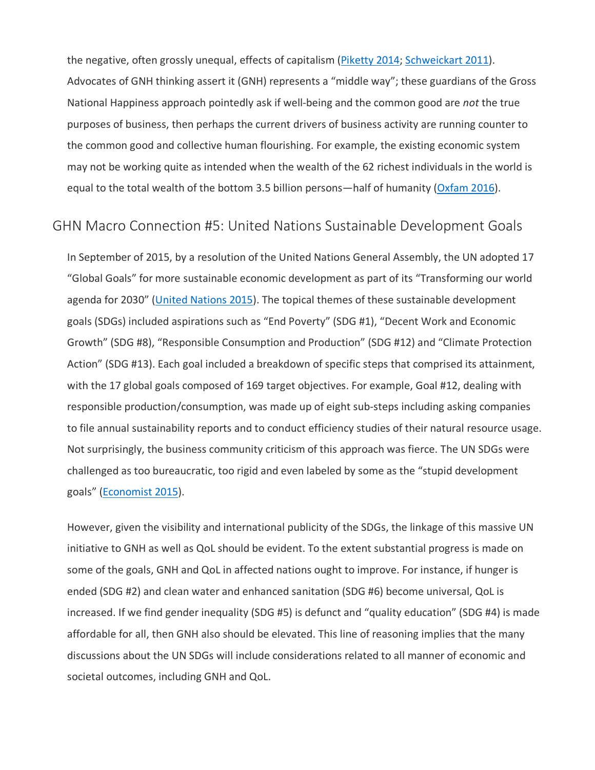the negative, often grossly unequal, effects of capitalism [\(Piketty 2014;](https://journals.sagepub.com/doi/10.1177/0276146718787600) [Schweickart 2011\)](https://journals.sagepub.com/doi/10.1177/0276146718787600). Advocates of GNH thinking assert it (GNH) represents a "middle way"; these guardians of the Gross National Happiness approach pointedly ask if well-being and the common good are *not* the true purposes of business, then perhaps the current drivers of business activity are running counter to the common good and collective human flourishing. For example, the existing economic system may not be working quite as intended when the wealth of the 62 richest individuals in the world is equal to the total wealth of the bottom 3.5 billion persons—half of humanity [\(Oxfam 2016\)](https://journals.sagepub.com/doi/10.1177/0276146718787600).

#### GHN Macro Connection #5: United Nations Sustainable Development Goals

In September of 2015, by a resolution of the United Nations General Assembly, the UN adopted 17 "Global Goals" for more sustainable economic development as part of its "Transforming our world agenda for 2030" [\(United Nations 2015\)](https://journals.sagepub.com/doi/10.1177/0276146718787600). The topical themes of these sustainable development goals (SDGs) included aspirations such as "End Poverty" (SDG #1), "Decent Work and Economic Growth" (SDG #8), "Responsible Consumption and Production" (SDG #12) and "Climate Protection Action" (SDG #13). Each goal included a breakdown of specific steps that comprised its attainment, with the 17 global goals composed of 169 target objectives. For example, Goal #12, dealing with responsible production/consumption, was made up of eight sub-steps including asking companies to file annual sustainability reports and to conduct efficiency studies of their natural resource usage. Not surprisingly, the business community criticism of this approach was fierce. The UN SDGs were challenged as too bureaucratic, too rigid and even labeled by some as the "stupid development goals" [\(Economist 2015\)](https://journals.sagepub.com/doi/10.1177/0276146718787600).

However, given the visibility and international publicity of the SDGs, the linkage of this massive UN initiative to GNH as well as QoL should be evident. To the extent substantial progress is made on some of the goals, GNH and QoL in affected nations ought to improve. For instance, if hunger is ended (SDG #2) and clean water and enhanced sanitation (SDG #6) become universal, QoL is increased. If we find gender inequality (SDG #5) is defunct and "quality education" (SDG #4) is made affordable for all, then GNH also should be elevated. This line of reasoning implies that the many discussions about the UN SDGs will include considerations related to all manner of economic and societal outcomes, including GNH and QoL.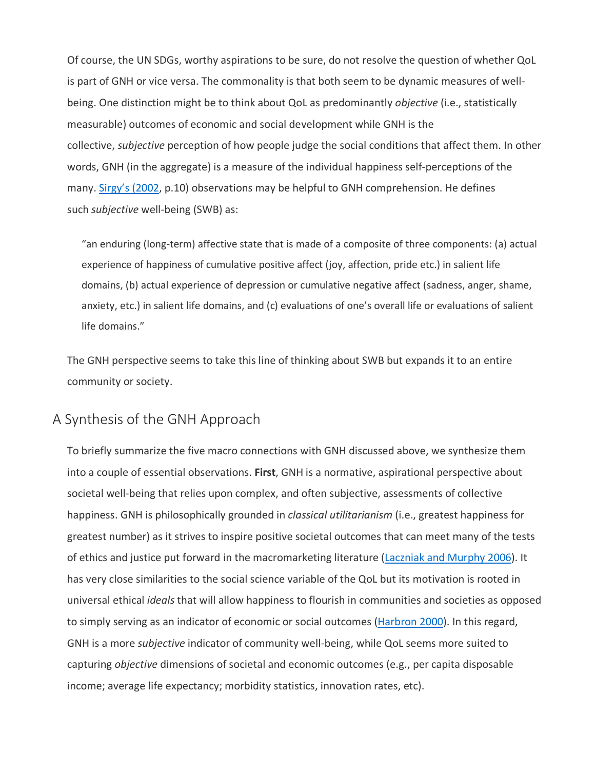Of course, the UN SDGs, worthy aspirations to be sure, do not resolve the question of whether QoL is part of GNH or vice versa. The commonality is that both seem to be dynamic measures of wellbeing. One distinction might be to think about QoL as predominantly *objective* (i.e., statistically measurable) outcomes of economic and social development while GNH is the collective, *subjective* perception of how people judge the social conditions that affect them. In other words, GNH (in the aggregate) is a measure of the individual happiness self-perceptions of the many. [Sirgy's \(2002,](https://journals.sagepub.com/doi/10.1177/0276146718787600) p.10) observations may be helpful to GNH comprehension. He defines such *subjective* well-being (SWB) as:

"an enduring (long-term) affective state that is made of a composite of three components: (a) actual experience of happiness of cumulative positive affect (joy, affection, pride etc.) in salient life domains, (b) actual experience of depression or cumulative negative affect (sadness, anger, shame, anxiety, etc.) in salient life domains, and (c) evaluations of one's overall life or evaluations of salient life domains."

The GNH perspective seems to take this line of thinking about SWB but expands it to an entire community or society.

#### A Synthesis of the GNH Approach

To briefly summarize the five macro connections with GNH discussed above, we synthesize them into a couple of essential observations. **First**, GNH is a normative, aspirational perspective about societal well-being that relies upon complex, and often subjective, assessments of collective happiness. GNH is philosophically grounded in *classical utilitarianism* (i.e., greatest happiness for greatest number) as it strives to inspire positive societal outcomes that can meet many of the tests of ethics and justice put forward in the macromarketing literature [\(Laczniak and Murphy 2006\)](https://journals.sagepub.com/doi/10.1177/0276146718787600). It has very close similarities to the social science variable of the QoL but its motivation is rooted in universal ethical *ideals* that will allow happiness to flourish in communities and societies as opposed to simply serving as an indicator of economic or social outcomes [\(Harbron 2000\)](https://journals.sagepub.com/doi/10.1177/0276146718787600). In this regard, GNH is a more *subjective* indicator of community well-being, while QoL seems more suited to capturing *objective* dimensions of societal and economic outcomes (e.g., per capita disposable income; average life expectancy; morbidity statistics, innovation rates, etc).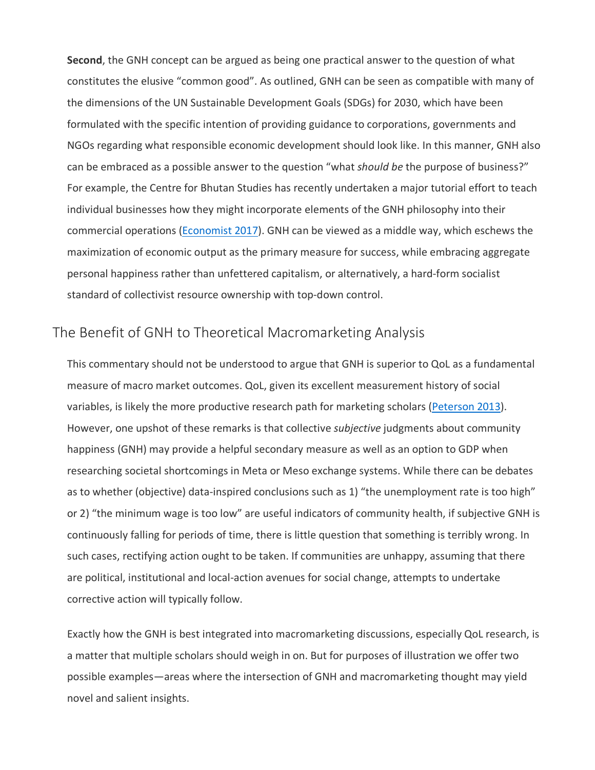**Second**, the GNH concept can be argued as being one practical answer to the question of what constitutes the elusive "common good". As outlined, GNH can be seen as compatible with many of the dimensions of the UN Sustainable Development Goals (SDGs) for 2030, which have been formulated with the specific intention of providing guidance to corporations, governments and NGOs regarding what responsible economic development should look like. In this manner, GNH also can be embraced as a possible answer to the question "what *should be* the purpose of business?" For example, the Centre for Bhutan Studies has recently undertaken a major tutorial effort to teach individual businesses how they might incorporate elements of the GNH philosophy into their commercial operations [\(Economist 2017\)](https://journals.sagepub.com/doi/10.1177/0276146718787600). GNH can be viewed as a middle way, which eschews the maximization of economic output as the primary measure for success, while embracing aggregate personal happiness rather than unfettered capitalism, or alternatively, a hard-form socialist standard of collectivist resource ownership with top-down control.

#### The Benefit of GNH to Theoretical Macromarketing Analysis

This commentary should not be understood to argue that GNH is superior to QoL as a fundamental measure of macro market outcomes. QoL, given its excellent measurement history of social variables, is likely the more productive research path for marketing scholars [\(Peterson 2013\)](https://journals.sagepub.com/doi/10.1177/0276146718787600). However, one upshot of these remarks is that collective *subjective* judgments about community happiness (GNH) may provide a helpful secondary measure as well as an option to GDP when researching societal shortcomings in Meta or Meso exchange systems. While there can be debates as to whether (objective) data-inspired conclusions such as 1) "the unemployment rate is too high" or 2) "the minimum wage is too low" are useful indicators of community health, if subjective GNH is continuously falling for periods of time, there is little question that something is terribly wrong. In such cases, rectifying action ought to be taken. If communities are unhappy, assuming that there are political, institutional and local-action avenues for social change, attempts to undertake corrective action will typically follow.

Exactly how the GNH is best integrated into macromarketing discussions, especially QoL research, is a matter that multiple scholars should weigh in on. But for purposes of illustration we offer two possible examples—areas where the intersection of GNH and macromarketing thought may yield novel and salient insights.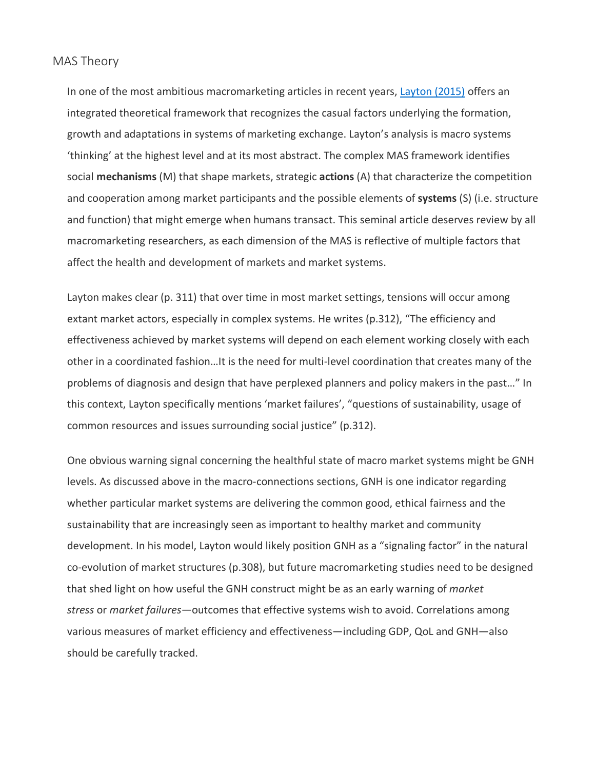#### MAS Theory

In one of the most ambitious macromarketing articles in recent years, [Layton \(2015\)](https://journals.sagepub.com/doi/10.1177/0276146718787600) offers an integrated theoretical framework that recognizes the casual factors underlying the formation, growth and adaptations in systems of marketing exchange. Layton's analysis is macro systems 'thinking' at the highest level and at its most abstract. The complex MAS framework identifies social **mechanisms** (M) that shape markets, strategic **actions** (A) that characterize the competition and cooperation among market participants and the possible elements of **systems** (S) (i.e. structure and function) that might emerge when humans transact. This seminal article deserves review by all macromarketing researchers, as each dimension of the MAS is reflective of multiple factors that affect the health and development of markets and market systems.

Layton makes clear (p. 311) that over time in most market settings, tensions will occur among extant market actors, especially in complex systems. He writes (p.312), "The efficiency and effectiveness achieved by market systems will depend on each element working closely with each other in a coordinated fashion…It is the need for multi-level coordination that creates many of the problems of diagnosis and design that have perplexed planners and policy makers in the past…" In this context, Layton specifically mentions 'market failures', "questions of sustainability, usage of common resources and issues surrounding social justice" (p.312).

One obvious warning signal concerning the healthful state of macro market systems might be GNH levels. As discussed above in the macro-connections sections, GNH is one indicator regarding whether particular market systems are delivering the common good, ethical fairness and the sustainability that are increasingly seen as important to healthy market and community development. In his model, Layton would likely position GNH as a "signaling factor" in the natural co-evolution of market structures (p.308), but future macromarketing studies need to be designed that shed light on how useful the GNH construct might be as an early warning of *market stress* or *market failures*—outcomes that effective systems wish to avoid. Correlations among various measures of market efficiency and effectiveness—including GDP, QoL and GNH—also should be carefully tracked.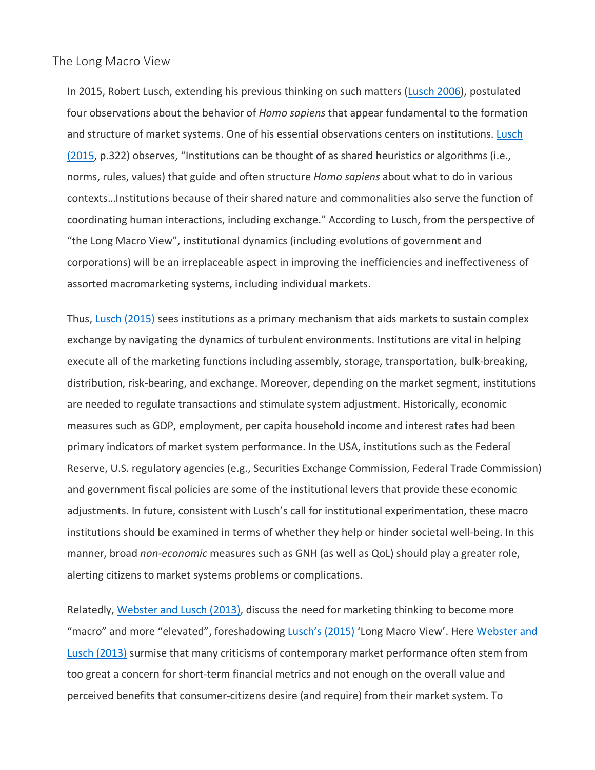#### The Long Macro View

In 2015, Robert Lusch, extending his previous thinking on such matters [\(Lusch 2006\)](https://journals.sagepub.com/doi/10.1177/0276146718787600), postulated four observations about the behavior of *Homo sapiens* that appear fundamental to the formation and structure of market systems. One of his essential observations centers on institutions. [Lusch](https://journals.sagepub.com/doi/10.1177/0276146718787600)  [\(2015,](https://journals.sagepub.com/doi/10.1177/0276146718787600) p.322) observes, "Institutions can be thought of as shared heuristics or algorithms (i.e., norms, rules, values) that guide and often structure *Homo sapiens* about what to do in various contexts…Institutions because of their shared nature and commonalities also serve the function of coordinating human interactions, including exchange." According to Lusch, from the perspective of "the Long Macro View", institutional dynamics (including evolutions of government and corporations) will be an irreplaceable aspect in improving the inefficiencies and ineffectiveness of assorted macromarketing systems, including individual markets.

Thus, [Lusch \(2015\)](https://journals.sagepub.com/doi/10.1177/0276146718787600) sees institutions as a primary mechanism that aids markets to sustain complex exchange by navigating the dynamics of turbulent environments. Institutions are vital in helping execute all of the marketing functions including assembly, storage, transportation, bulk-breaking, distribution, risk-bearing, and exchange. Moreover, depending on the market segment, institutions are needed to regulate transactions and stimulate system adjustment. Historically, economic measures such as GDP, employment, per capita household income and interest rates had been primary indicators of market system performance. In the USA, institutions such as the Federal Reserve, U.S. regulatory agencies (e.g., Securities Exchange Commission, Federal Trade Commission) and government fiscal policies are some of the institutional levers that provide these economic adjustments. In future, consistent with Lusch's call for institutional experimentation, these macro institutions should be examined in terms of whether they help or hinder societal well-being. In this manner, broad *non-economic* measures such as GNH (as well as QoL) should play a greater role, alerting citizens to market systems problems or complications.

Relatedly, [Webster and Lusch \(2013\),](https://journals.sagepub.com/doi/10.1177/0276146718787600) discuss the need for marketing thinking to become more "macro" and more "elevated", foreshadowing [Lusch's \(2015\)](https://journals.sagepub.com/doi/10.1177/0276146718787600) 'Long Macro View'. Here Webster and [Lusch \(2013\)](https://journals.sagepub.com/doi/10.1177/0276146718787600) surmise that many criticisms of contemporary market performance often stem from too great a concern for short-term financial metrics and not enough on the overall value and perceived benefits that consumer-citizens desire (and require) from their market system. To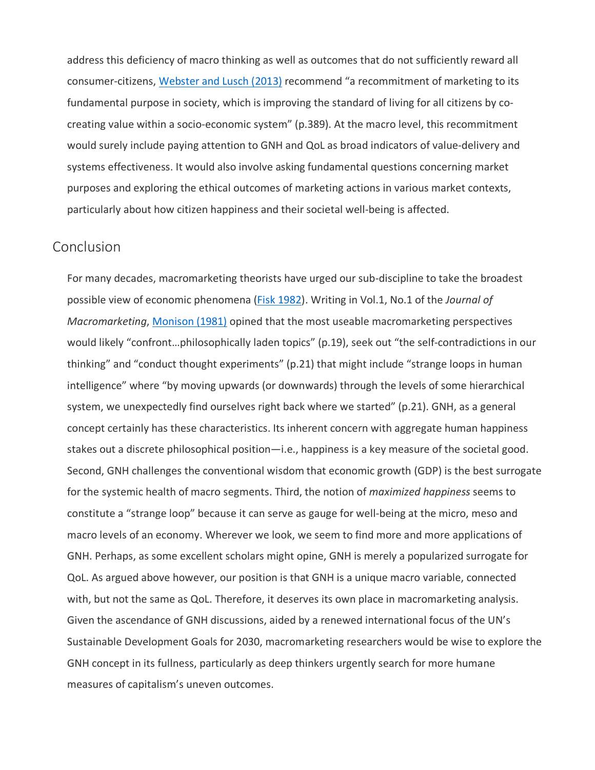address this deficiency of macro thinking as well as outcomes that do not sufficiently reward all consumer-citizens, [Webster and Lusch \(2013\)](https://journals.sagepub.com/doi/10.1177/0276146718787600) recommend "a recommitment of marketing to its fundamental purpose in society, which is improving the standard of living for all citizens by cocreating value within a socio-economic system" (p.389). At the macro level, this recommitment would surely include paying attention to GNH and QoL as broad indicators of value-delivery and systems effectiveness. It would also involve asking fundamental questions concerning market purposes and exploring the ethical outcomes of marketing actions in various market contexts, particularly about how citizen happiness and their societal well-being is affected.

#### **Conclusion**

For many decades, macromarketing theorists have urged our sub-discipline to take the broadest possible view of economic phenomena [\(Fisk 1982\)](https://journals.sagepub.com/doi/10.1177/0276146718787600). Writing in Vol.1, No.1 of the *Journal of Macromarketing*, [Monison \(1981\)](https://journals.sagepub.com/doi/10.1177/0276146718787600) opined that the most useable macromarketing perspectives would likely "confront…philosophically laden topics" (p.19), seek out "the self-contradictions in our thinking" and "conduct thought experiments" (p.21) that might include "strange loops in human intelligence" where "by moving upwards (or downwards) through the levels of some hierarchical system, we unexpectedly find ourselves right back where we started" (p.21). GNH, as a general concept certainly has these characteristics. Its inherent concern with aggregate human happiness stakes out a discrete philosophical position—i.e., happiness is a key measure of the societal good. Second, GNH challenges the conventional wisdom that economic growth (GDP) is the best surrogate for the systemic health of macro segments. Third, the notion of *maximized happiness* seems to constitute a "strange loop" because it can serve as gauge for well-being at the micro, meso and macro levels of an economy. Wherever we look, we seem to find more and more applications of GNH. Perhaps, as some excellent scholars might opine, GNH is merely a popularized surrogate for QoL. As argued above however, our position is that GNH is a unique macro variable, connected with, but not the same as QoL. Therefore, it deserves its own place in macromarketing analysis. Given the ascendance of GNH discussions, aided by a renewed international focus of the UN's Sustainable Development Goals for 2030, macromarketing researchers would be wise to explore the GNH concept in its fullness, particularly as deep thinkers urgently search for more humane measures of capitalism's uneven outcomes.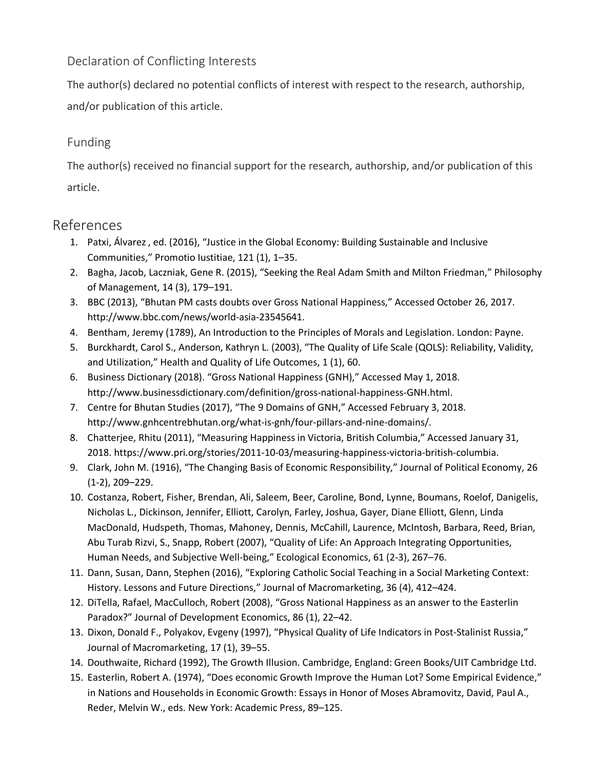#### Declaration of Conflicting Interests

The author(s) declared no potential conflicts of interest with respect to the research, authorship, and/or publication of this article.

#### Funding

The author(s) received no financial support for the research, authorship, and/or publication of this article.

#### References

- 1. Patxi, Álvarez , ed. (2016), "Justice in the Global Economy: Building Sustainable and Inclusive Communities," Promotio Iustitiae, 121 (1), 1–35.
- 2. Bagha, Jacob, Laczniak, Gene R. (2015), "Seeking the Real Adam Smith and Milton Friedman," Philosophy of Management, 14 (3), 179–191.
- 3. BBC (2013), "Bhutan PM casts doubts over Gross National Happiness," Accessed October 26, 2017. http://www.bbc.com/news/world-asia-23545641.
- 4. Bentham, Jeremy (1789), An Introduction to the Principles of Morals and Legislation. London: Payne.
- 5. Burckhardt, Carol S., Anderson, Kathryn L. (2003), "The Quality of Life Scale (QOLS): Reliability, Validity, and Utilization," Health and Quality of Life Outcomes, 1 (1), 60.
- 6. Business Dictionary (2018). "Gross National Happiness (GNH)," Accessed May 1, 2018. http://www.businessdictionary.com/definition/gross-national-happiness-GNH.html.
- 7. Centre for Bhutan Studies (2017), "The 9 Domains of GNH," Accessed February 3, 2018. http://www.gnhcentrebhutan.org/what-is-gnh/four-pillars-and-nine-domains/.
- 8. Chatterjee, Rhitu (2011), "Measuring Happiness in Victoria, British Columbia," Accessed January 31, 2018. https://www.pri.org/stories/2011-10-03/measuring-happiness-victoria-british-columbia.
- 9. Clark, John M. (1916), "The Changing Basis of Economic Responsibility," Journal of Political Economy, 26 (1-2), 209–229.
- 10. Costanza, Robert, Fisher, Brendan, Ali, Saleem, Beer, Caroline, Bond, Lynne, Boumans, Roelof, Danigelis, Nicholas L., Dickinson, Jennifer, Elliott, Carolyn, Farley, Joshua, Gayer, Diane Elliott, Glenn, Linda MacDonald, Hudspeth, Thomas, Mahoney, Dennis, McCahill, Laurence, McIntosh, Barbara, Reed, Brian, Abu Turab Rizvi, S., Snapp, Robert (2007), "Quality of Life: An Approach Integrating Opportunities, Human Needs, and Subjective Well-being," Ecological Economics, 61 (2-3), 267–76.
- 11. Dann, Susan, Dann, Stephen (2016), "Exploring Catholic Social Teaching in a Social Marketing Context: History. Lessons and Future Directions," Journal of Macromarketing, 36 (4), 412–424.
- 12. DiTella, Rafael, MacCulloch, Robert (2008), "Gross National Happiness as an answer to the Easterlin Paradox?" Journal of Development Economics, 86 (1), 22–42.
- 13. Dixon, Donald F., Polyakov, Evgeny (1997), "Physical Quality of Life Indicators in Post-Stalinist Russia," Journal of Macromarketing, 17 (1), 39–55.
- 14. Douthwaite, Richard (1992), The Growth Illusion. Cambridge, England: Green Books/UIT Cambridge Ltd.
- 15. Easterlin, Robert A. (1974), "Does economic Growth Improve the Human Lot? Some Empirical Evidence," in Nations and Households in Economic Growth: Essays in Honor of Moses Abramovitz, David, Paul A., Reder, Melvin W., eds. New York: Academic Press, 89–125.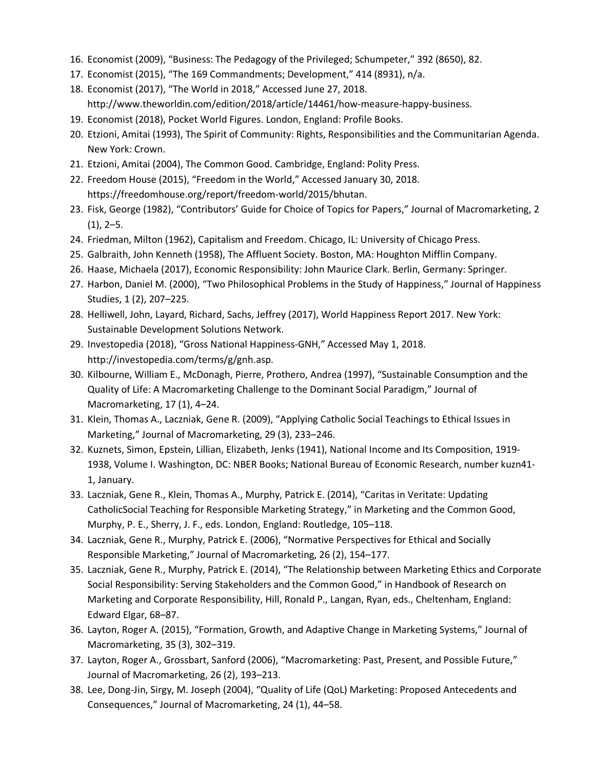- 16. Economist (2009), "Business: The Pedagogy of the Privileged; Schumpeter," 392 (8650), 82.
- 17. Economist (2015), "The 169 Commandments; Development," 414 (8931), n/a.
- 18. Economist (2017), "The World in 2018," Accessed June 27, 2018. http://www.theworldin.com/edition/2018/article/14461/how-measure-happy-business.
- 19. Economist (2018), Pocket World Figures. London, England: Profile Books.
- 20. Etzioni, Amitai (1993), The Spirit of Community: Rights, Responsibilities and the Communitarian Agenda. New York: Crown.
- 21. Etzioni, Amitai (2004), The Common Good. Cambridge, England: Polity Press.
- 22. Freedom House (2015), "Freedom in the World," Accessed January 30, 2018. https://freedomhouse.org/report/freedom-world/2015/bhutan.
- 23. Fisk, George (1982), "Contributors' Guide for Choice of Topics for Papers," Journal of Macromarketing, 2 (1), 2–5.
- 24. Friedman, Milton (1962), Capitalism and Freedom. Chicago, IL: University of Chicago Press.
- 25. Galbraith, John Kenneth (1958), The Affluent Society. Boston, MA: Houghton Mifflin Company.
- 26. Haase, Michaela (2017), Economic Responsibility: John Maurice Clark. Berlin, Germany: Springer.
- 27. Harbon, Daniel M. (2000), "Two Philosophical Problems in the Study of Happiness," Journal of Happiness Studies, 1 (2), 207–225.
- 28. Helliwell, John, Layard, Richard, Sachs, Jeffrey (2017), World Happiness Report 2017. New York: Sustainable Development Solutions Network.
- 29. Investopedia (2018), "Gross National Happiness-GNH," Accessed May 1, 2018. http://investopedia.com/terms/g/gnh.asp.
- 30. Kilbourne, William E., McDonagh, Pierre, Prothero, Andrea (1997), "Sustainable Consumption and the Quality of Life: A Macromarketing Challenge to the Dominant Social Paradigm," Journal of Macromarketing, 17 (1), 4–24.
- 31. Klein, Thomas A., Laczniak, Gene R. (2009), "Applying Catholic Social Teachings to Ethical Issues in Marketing," Journal of Macromarketing, 29 (3), 233–246.
- 32. Kuznets, Simon, Epstein, Lillian, Elizabeth, Jenks (1941), National Income and Its Composition, 1919- 1938, Volume I. Washington, DC: NBER Books; National Bureau of Economic Research, number kuzn41- 1, January.
- 33. Laczniak, Gene R., Klein, Thomas A., Murphy, Patrick E. (2014), "Caritas in Veritate: Updating CatholicSocial Teaching for Responsible Marketing Strategy," in Marketing and the Common Good, Murphy, P. E., Sherry, J. F., eds. London, England: Routledge, 105–118.
- 34. Laczniak, Gene R., Murphy, Patrick E. (2006), "Normative Perspectives for Ethical and Socially Responsible Marketing," Journal of Macromarketing, 26 (2), 154–177.
- 35. Laczniak, Gene R., Murphy, Patrick E. (2014), "The Relationship between Marketing Ethics and Corporate Social Responsibility: Serving Stakeholders and the Common Good," in Handbook of Research on Marketing and Corporate Responsibility, Hill, Ronald P., Langan, Ryan, eds., Cheltenham, England: Edward Elgar, 68–87.
- 36. Layton, Roger A. (2015), "Formation, Growth, and Adaptive Change in Marketing Systems," Journal of Macromarketing, 35 (3), 302–319.
- 37. Layton, Roger A., Grossbart, Sanford (2006), "Macromarketing: Past, Present, and Possible Future," Journal of Macromarketing, 26 (2), 193–213.
- 38. Lee, Dong-Jin, Sirgy, M. Joseph (2004), "Quality of Life (QoL) Marketing: Proposed Antecedents and Consequences," Journal of Macromarketing, 24 (1), 44–58.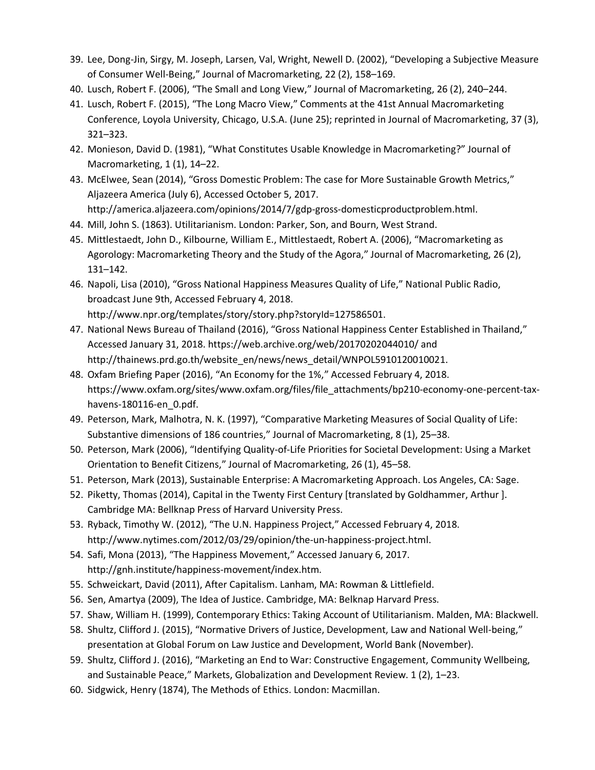- 39. Lee, Dong-Jin, Sirgy, M. Joseph, Larsen, Val, Wright, Newell D. (2002), "Developing a Subjective Measure of Consumer Well-Being," Journal of Macromarketing, 22 (2), 158–169.
- 40. Lusch, Robert F. (2006), "The Small and Long View," Journal of Macromarketing, 26 (2), 240–244.
- 41. Lusch, Robert F. (2015), "The Long Macro View," Comments at the 41st Annual Macromarketing Conference, Loyola University, Chicago, U.S.A. (June 25); reprinted in Journal of Macromarketing, 37 (3), 321–323.
- 42. Monieson, David D. (1981), "What Constitutes Usable Knowledge in Macromarketing?" Journal of Macromarketing, 1 (1), 14–22.
- 43. McElwee, Sean (2014), "Gross Domestic Problem: The case for More Sustainable Growth Metrics," Aljazeera America (July 6), Accessed October 5, 2017. http://america.aljazeera.com/opinions/2014/7/gdp-gross-domesticproductproblem.html.
- 44. Mill, John S. (1863). Utilitarianism. London: Parker, Son, and Bourn, West Strand.
- 45. Mittlestaedt, John D., Kilbourne, William E., Mittlestaedt, Robert A. (2006), "Macromarketing as Agorology: Macromarketing Theory and the Study of the Agora," Journal of Macromarketing, 26 (2), 131–142.
- 46. Napoli, Lisa (2010), "Gross National Happiness Measures Quality of Life," National Public Radio, broadcast June 9th, Accessed February 4, 2018. http://www.npr.org/templates/story/story.php?storyId=127586501.
- 47. National News Bureau of Thailand (2016), "Gross National Happiness Center Established in Thailand," Accessed January 31, 2018. https://web.archive.org/web/20170202044010/ and http://thainews.prd.go.th/website\_en/news/news\_detail/WNPOL5910120010021.
- 48. Oxfam Briefing Paper (2016), "An Economy for the 1%," Accessed February 4, 2018. https://www.oxfam.org/sites/www.oxfam.org/files/file\_attachments/bp210-economy-one-percent-taxhavens-180116-en\_0.pdf.
- 49. Peterson, Mark, Malhotra, N. K. (1997), "Comparative Marketing Measures of Social Quality of Life: Substantive dimensions of 186 countries," Journal of Macromarketing, 8 (1), 25–38.
- 50. Peterson, Mark (2006), "Identifying Quality-of-Life Priorities for Societal Development: Using a Market Orientation to Benefit Citizens," Journal of Macromarketing, 26 (1), 45–58.
- 51. Peterson, Mark (2013), Sustainable Enterprise: A Macromarketing Approach. Los Angeles, CA: Sage.
- 52. Piketty, Thomas (2014), Capital in the Twenty First Century [translated by Goldhammer, Arthur ]. Cambridge MA: Bellknap Press of Harvard University Press.
- 53. Ryback, Timothy W. (2012), "The U.N. Happiness Project," Accessed February 4, 2018. http://www.nytimes.com/2012/03/29/opinion/the-un-happiness-project.html.
- 54. Safi, Mona (2013), "The Happiness Movement," Accessed January 6, 2017. http://gnh.institute/happiness-movement/index.htm.
- 55. Schweickart, David (2011), After Capitalism. Lanham, MA: Rowman & Littlefield.
- 56. Sen, Amartya (2009), The Idea of Justice. Cambridge, MA: Belknap Harvard Press.
- 57. Shaw, William H. (1999), Contemporary Ethics: Taking Account of Utilitarianism. Malden, MA: Blackwell.
- 58. Shultz, Clifford J. (2015), "Normative Drivers of Justice, Development, Law and National Well-being," presentation at Global Forum on Law Justice and Development, World Bank (November).
- 59. Shultz, Clifford J. (2016), "Marketing an End to War: Constructive Engagement, Community Wellbeing, and Sustainable Peace," Markets, Globalization and Development Review. 1 (2), 1–23.
- 60. Sidgwick, Henry (1874), The Methods of Ethics. London: Macmillan.